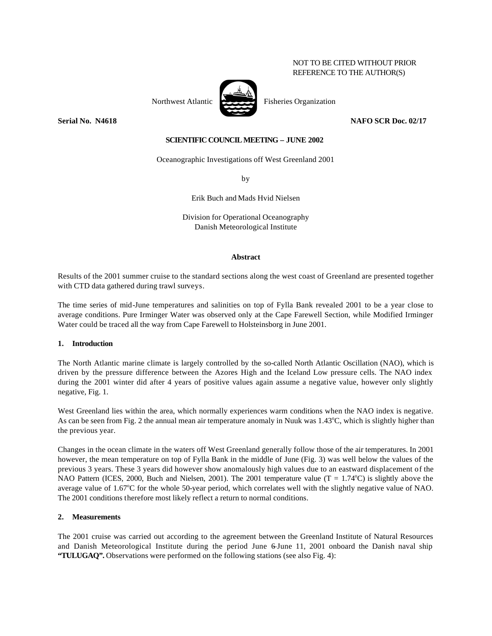## NOT TO BE CITED WITHOUT PRIOR REFERENCE TO THE AUTHOR(S)

Northwest Atlantic  $\overrightarrow{P}$  Fisheries Organization

**Serial No. N4618 NAFO SCR Doc. 02/17**

### **SCIENTIFIC COUNCIL MEETING – JUNE 2002**

Oceanographic Investigations off West Greenland 2001

by

Erik Buch and Mads Hvid Nielsen

Division for Operational Oceanography Danish Meteorological Institute

#### **Abstract**

Results of the 2001 summer cruise to the standard sections along the west coast of Greenland are presented together with CTD data gathered during trawl surveys.

The time series of mid-June temperatures and salinities on top of Fylla Bank revealed 2001 to be a year close to average conditions. Pure Irminger Water was observed only at the Cape Farewell Section, while Modified Irminger Water could be traced all the way from Cape Farewell to Holsteinsborg in June 2001.

### **1. Introduction**

The North Atlantic marine climate is largely controlled by the so-called North Atlantic Oscillation (NAO), which is driven by the pressure difference between the Azores High and the Iceland Low pressure cells. The NAO index during the 2001 winter did after 4 years of positive values again assume a negative value, however only slightly negative, Fig. 1.

West Greenland lies within the area, which normally experiences warm conditions when the NAO index is negative. As can be seen from Fig. 2 the annual mean air temperature anomaly in Nuuk was  $1.43^{\circ}$ C, which is slightly higher than the previous year.

Changes in the ocean climate in the waters off West Greenland generally follow those of the air temperatures. In 2001 however, the mean temperature on top of Fylla Bank in the middle of June (Fig. 3) was well below the values of the previous 3 years. These 3 years did however show anomalously high values due to an eastward displacement of the NAO Pattern (ICES, 2000, Buch and Nielsen, 2001). The 2001 temperature value ( $T = 1.74^{\circ}$ C) is slightly above the average value of  $1.67^{\circ}$ C for the whole 50-year period, which correlates well with the slightly negative value of NAO. The 2001 conditions therefore most likely reflect a return to normal conditions.

### **2. Measurements**

The 2001 cruise was carried out according to the agreement between the Greenland Institute of Natural Resources and Danish Meteorological Institute during the period June 6–June 11, 2001 onboard the Danish naval ship **"TULUGAQ".** Observations were performed on the following stations (see also Fig. 4):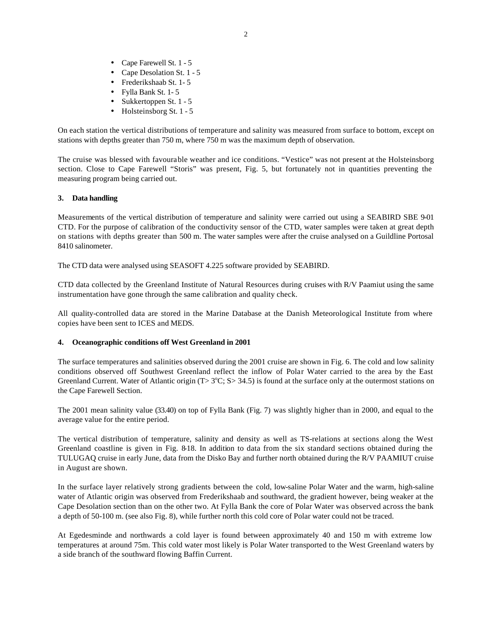- Cape Farewell St. 1 5
- Cape Desolation St. 1 5
- Frederikshaab St. 1- 5
- Fylla Bank St. 1- 5
- Sukkertoppen St.  $1 5$
- $\bullet$  Holsteinsborg St. 1 5

On each station the vertical distributions of temperature and salinity was measured from surface to bottom, except on stations with depths greater than 750 m, where 750 m was the maximum depth of observation.

The cruise was blessed with favourable weather and ice conditions. "Vestice" was not present at the Holsteinsborg section. Close to Cape Farewell "Storis" was present, Fig. 5, but fortunately not in quantities preventing the measuring program being carried out.

## **3. Data handling**

Measurements of the vertical distribution of temperature and salinity were carried out using a SEABIRD SBE 9-01 CTD. For the purpose of calibration of the conductivity sensor of the CTD, water samples were taken at great depth on stations with depths greater than 500 m. The water samples were after the cruise analysed on a Guildline Portosal 8410 salinometer.

The CTD data were analysed using SEASOFT 4.225 software provided by SEABIRD.

CTD data collected by the Greenland Institute of Natural Resources during cruises with R/V Paamiut using the same instrumentation have gone through the same calibration and quality check.

All quality-controlled data are stored in the Marine Database at the Danish Meteorological Institute from where copies have been sent to ICES and MEDS.

# **4. Oceanographic conditions off West Greenland in 2001**

The surface temperatures and salinities observed during the 2001 cruise are shown in Fig. 6. The cold and low salinity conditions observed off Southwest Greenland reflect the inflow of Polar Water carried to the area by the East Greenland Current. Water of Atlantic origin (T>  $3^{\circ}C$ ; S> 34.5) is found at the surface only at the outermost stations on the Cape Farewell Section.

The 2001 mean salinity value (33.40) on top of Fylla Bank (Fig. 7) was slightly higher than in 2000, and equal to the average value for the entire period.

The vertical distribution of temperature, salinity and density as well as TS-relations at sections along the West Greenland coastline is given in Fig. 8-18. In addition to data from the six standard sections obtained during the TULUGAQ cruise in early June, data from the Disko Bay and further north obtained during the R/V PAAMIUT cruise in August are shown.

In the surface layer relatively strong gradients between the cold, low-saline Polar Water and the warm, high-saline water of Atlantic origin was observed from Frederikshaab and southward, the gradient however, being weaker at the Cape Desolation section than on the other two. At Fylla Bank the core of Polar Water was observed across the bank a depth of 50-100 m. (see also Fig. 8), while further north this cold core of Polar water could not be traced.

At Egedesminde and northwards a cold layer is found between approximately 40 and 150 m with extreme low temperatures at around 75m. This cold water most likely is Polar Water transported to the West Greenland waters by a side branch of the southward flowing Baffin Current.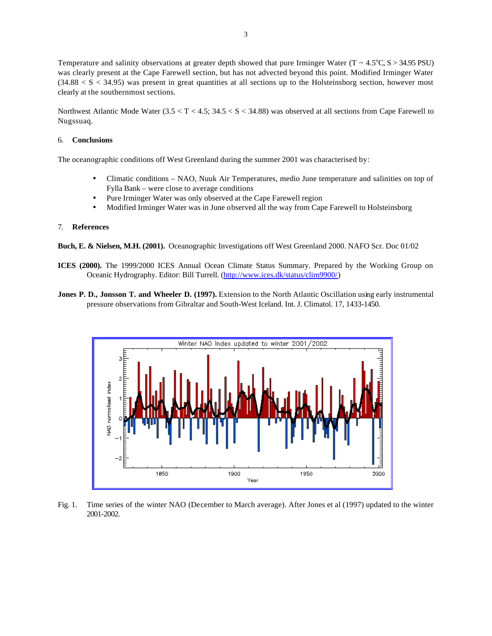Temperature and salinity observations at greater depth showed that pure Irminger Water (T ~  $4.5^{\circ}$ C, S > 34.95 PSU) was clearly present at the Cape Farewell section, but has not advected beyond this point. Modified Irminger Water  $(34.88 < S < 34.95)$  was present in great quantities at all sections up to the Holsteinsborg section, however most clearly at the southernmost sections.

Northwest Atlantic Mode Water  $(3.5 < T < 4.5; 34.5 < S < 34.88)$  was observed at all sections from Cape Farewell to Nugssuaq.

#### 6. **Conclusions**

The oceanographic conditions off West Greenland during the summer 2001 was characterised by:

- Climatic conditions NAO, Nuuk Air Temperatures, medio June temperature and salinities on top of Fylla Bank – were close to average conditions
- Pure Irminger Water was only observed at the Cape Farewell region
- Modified Irminger Water was in June observed all the way from Cape Farewell to Holsteinsborg

#### 7. **References**

**Buch, E. & Nielsen, M.H. (2001).** Oceanographic Investigations off West Greenland 2000. NAFO Scr. Doc 01/02

- **ICES (2000).** The 1999/2000 ICES Annual Ocean Climate Status Summary. Prepared by the Working Group on Oceanic Hydrography. Editor: Bill Turrell. [\(http://www.ices.dk/status/clim9900/\)](http://www.ices.dk/status/clim9900/)
- **Jones P. D., Jonsson T. and Wheeler D. (1997).** Extension to the North Atlantic Oscillation using early instrumental pressure observations from Gibraltar and South-West Iceland. Int. J. Climatol. 17, 1433-1450.



Fig. 1. Time series of the winter NAO (December to March average). After Jones et al (1997) updated to the winter 2001-2002.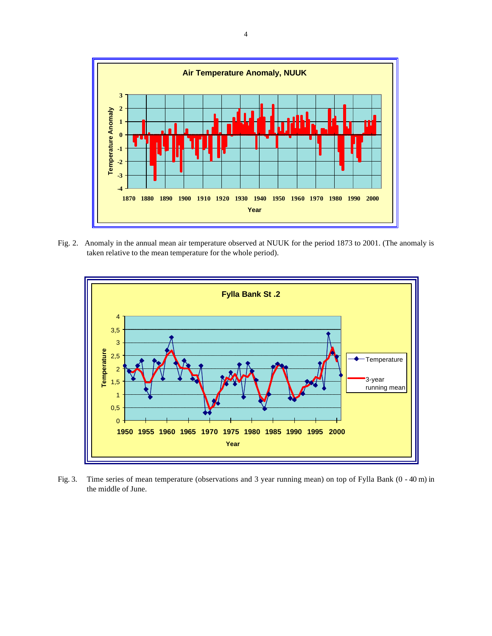

Fig. 2. Anomaly in the annual mean air temperature observed at NUUK for the period 1873 to 2001. (The anomaly is taken relative to the mean temperature for the whole period).



Fig. 3. Time series of mean temperature (observations and 3 year running mean) on top of Fylla Bank (0 - 40 m) in the middle of June.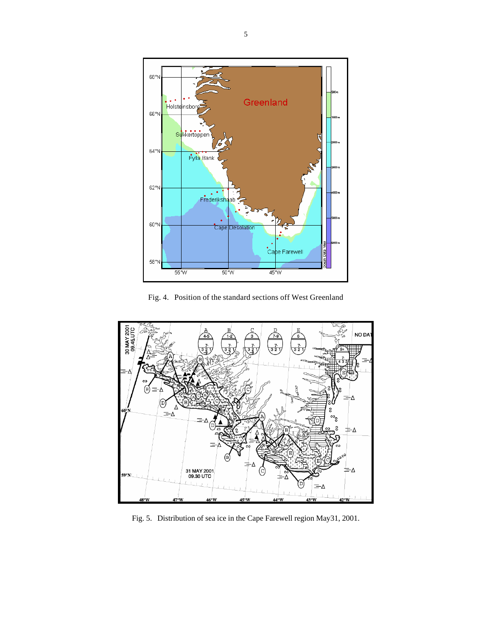

Fig. 4. Position of the standard sections off West Greenland



Fig. 5. Distribution of sea ice in the Cape Farewell region May31, 2001.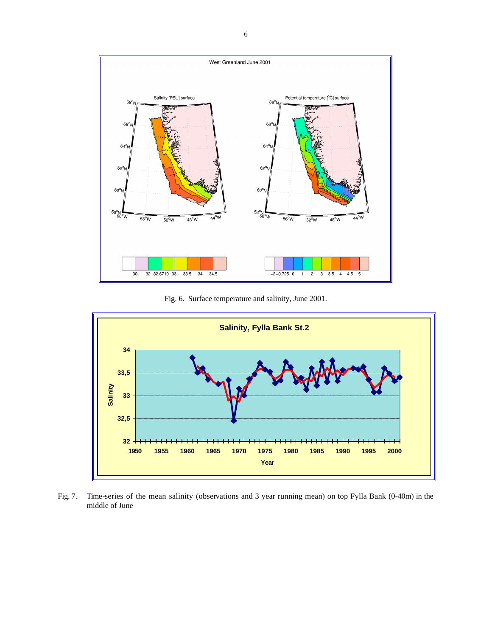![](_page_5_Figure_0.jpeg)

Fig. 6. Surface temperature and salinity, June 2001.

![](_page_5_Figure_2.jpeg)

Fig. 7. Time-series of the mean salinity (observations and 3 year running mean) on top Fylla Bank (0-40m) in the middle of June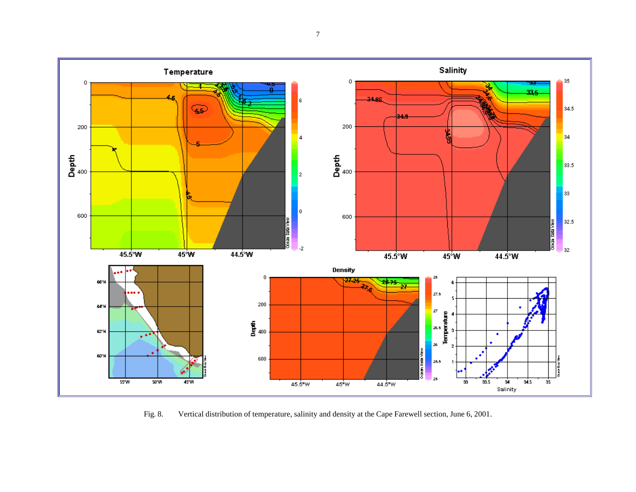![](_page_6_Figure_0.jpeg)

Fig. 8. Vertical distribution of temperature, salinity and density at the Cape Farewell section, June 6, 2001.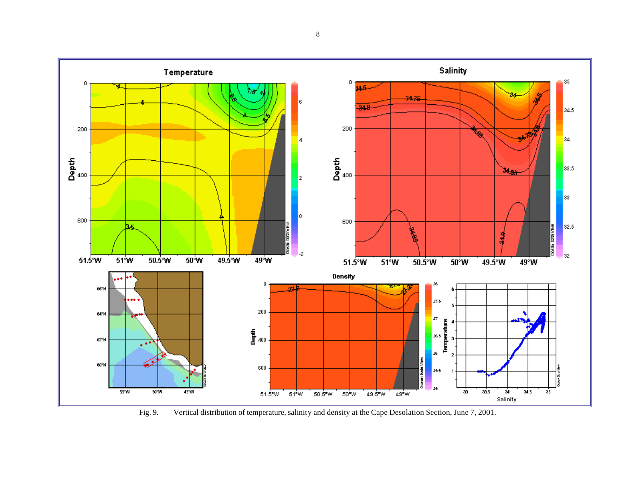![](_page_7_Figure_0.jpeg)

Fig. 9. Vertical distribution of temperature, salinity and density at the Cape Desolation Section, June 7, 2001.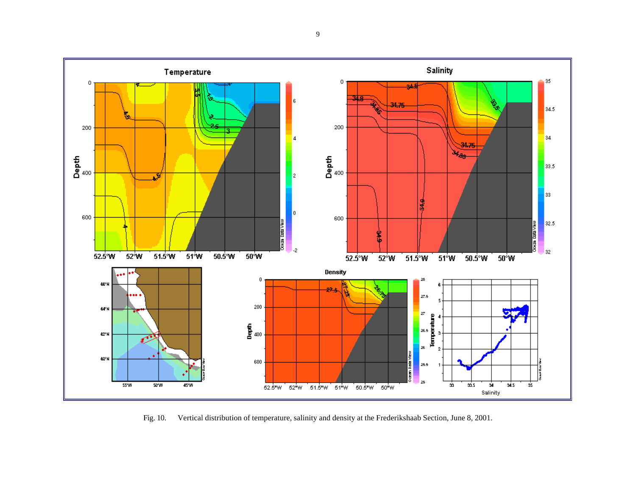![](_page_8_Figure_0.jpeg)

Fig. 10. Vertical distribution of temperature, salinity and density at the Frederikshaab Section, June 8, 2001.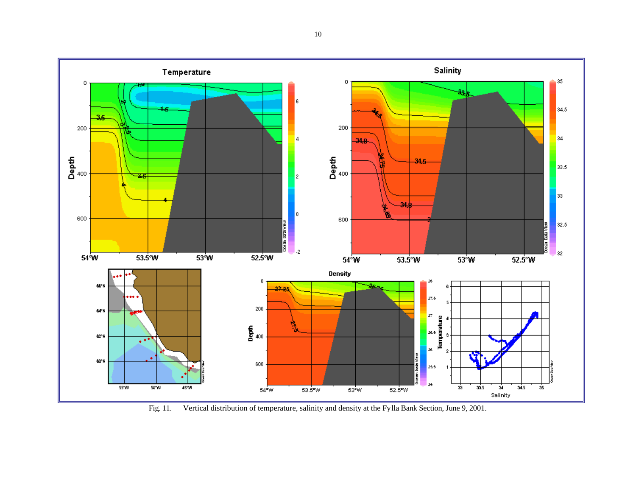![](_page_9_Figure_0.jpeg)

Fig. 11. Vertical distribution of temperature, salinity and density at the Fylla Bank Section, June 9, 2001.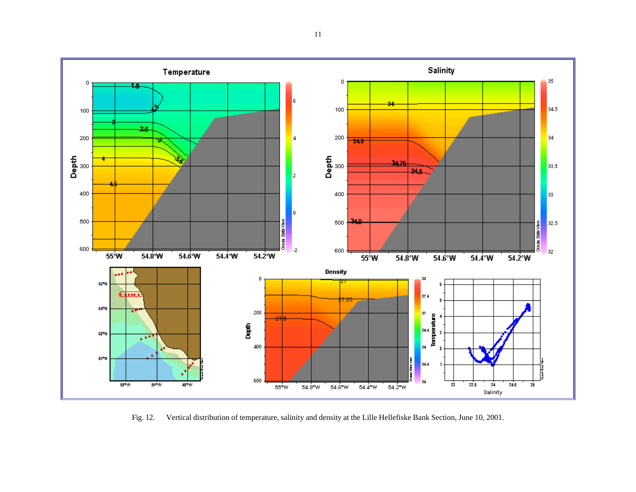![](_page_10_Figure_0.jpeg)

Fig. 12. Vertical distribution of temperature, salinity and density at the Lille Hellefiske Bank Section, June 10, 2001.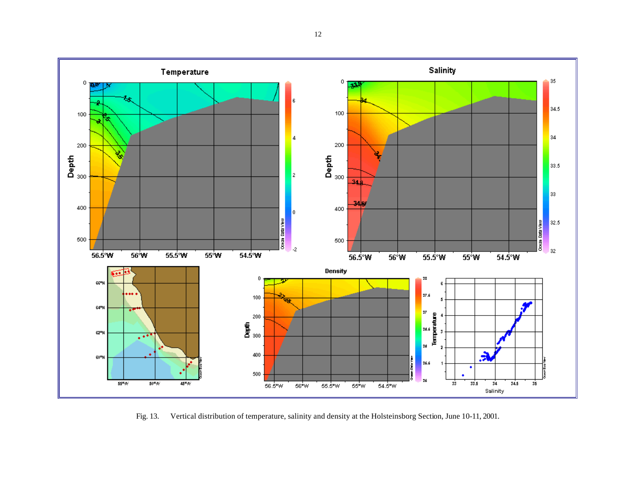![](_page_11_Figure_0.jpeg)

Fig. 13. Vertical distribution of temperature, salinity and density at the Holsteinsborg Section, June 10-11, 2001.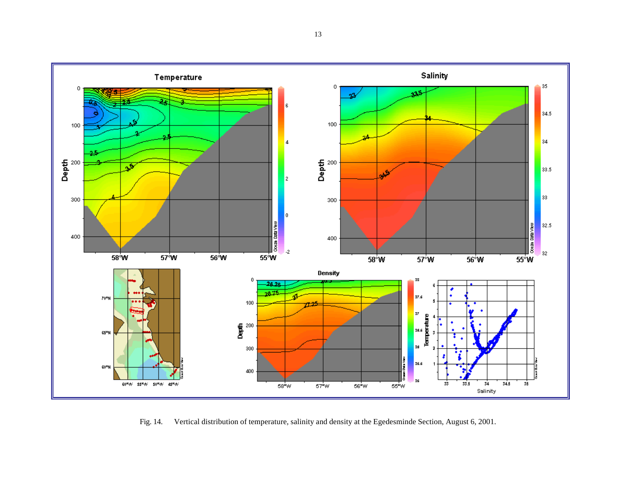![](_page_12_Figure_0.jpeg)

Fig. 14. Vertical distribution of temperature, salinity and density at the Egedesminde Section, August 6, 2001.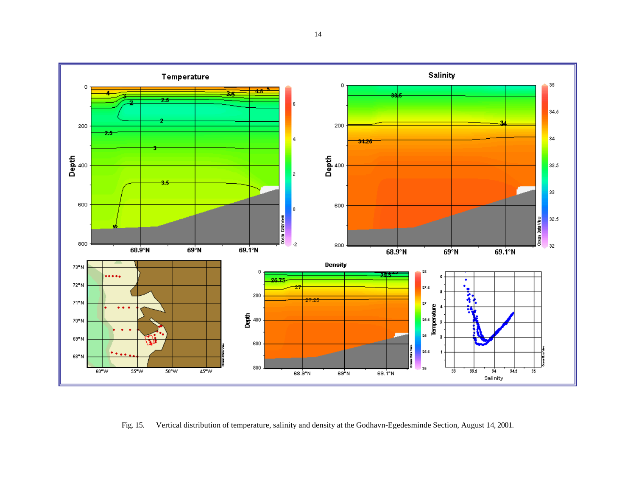![](_page_13_Figure_0.jpeg)

Fig. 15. Vertical distribution of temperature, salinity and density at the Godhavn-Egedesminde Section, August 14, 2001.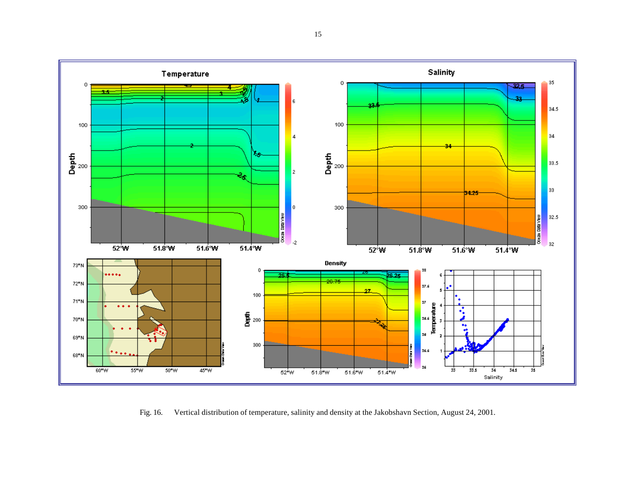![](_page_14_Figure_0.jpeg)

Fig. 16. Vertical distribution of temperature, salinity and density at the Jakobshavn Section, August 24, 2001.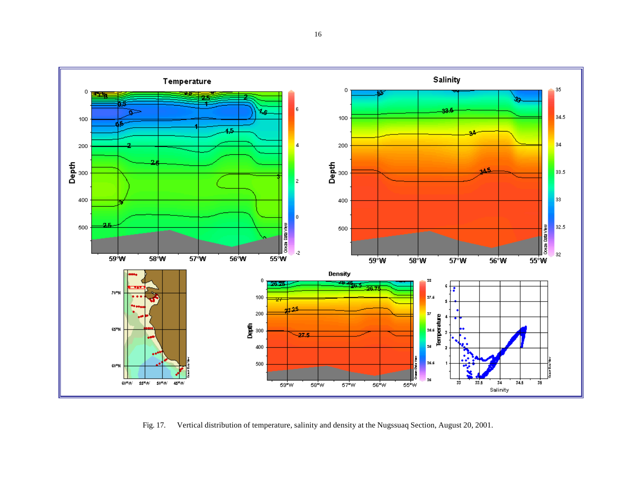![](_page_15_Figure_0.jpeg)

Fig. 17. Vertical distribution of temperature, salinity and density at the Nugssuaq Section, August 20, 2001.